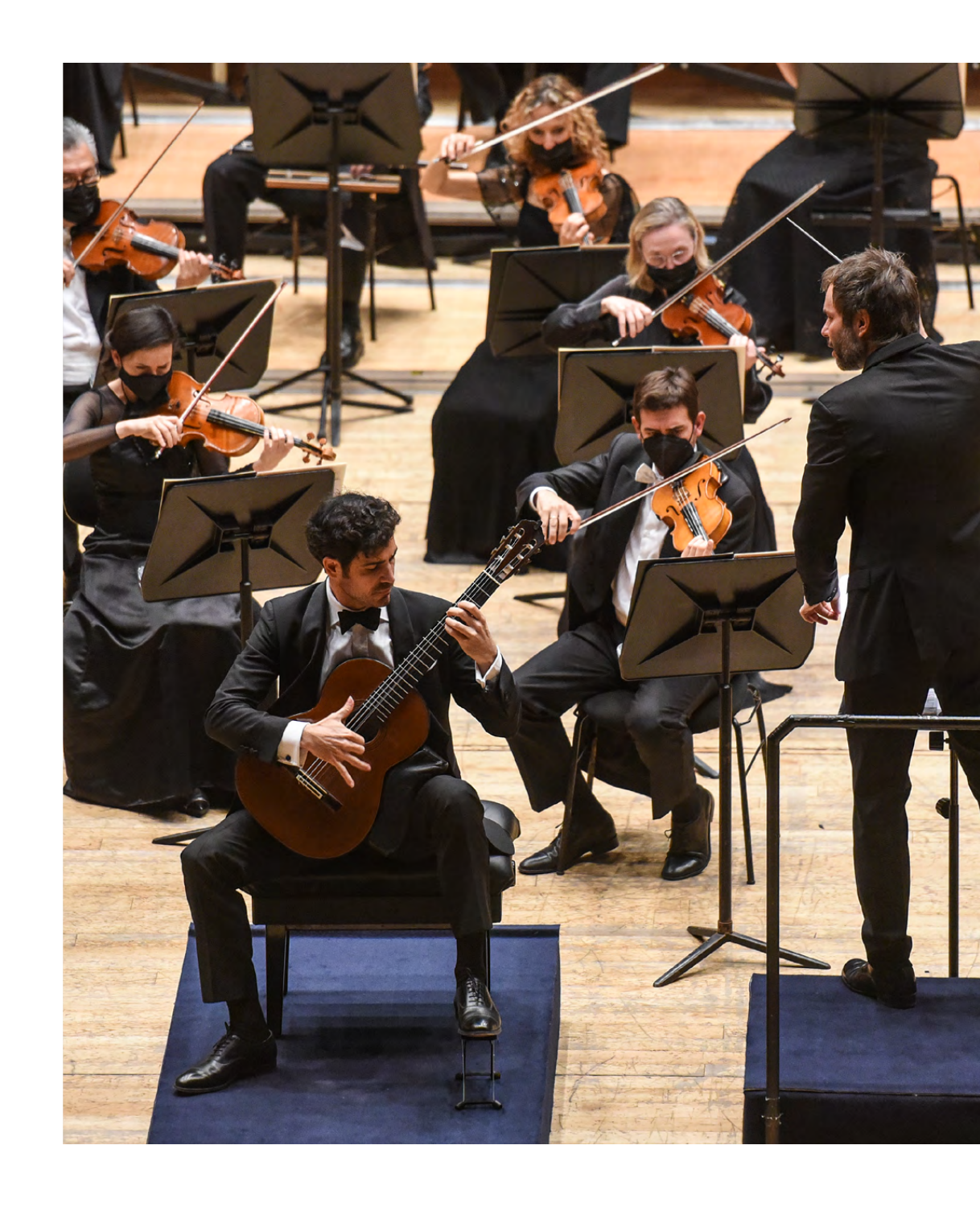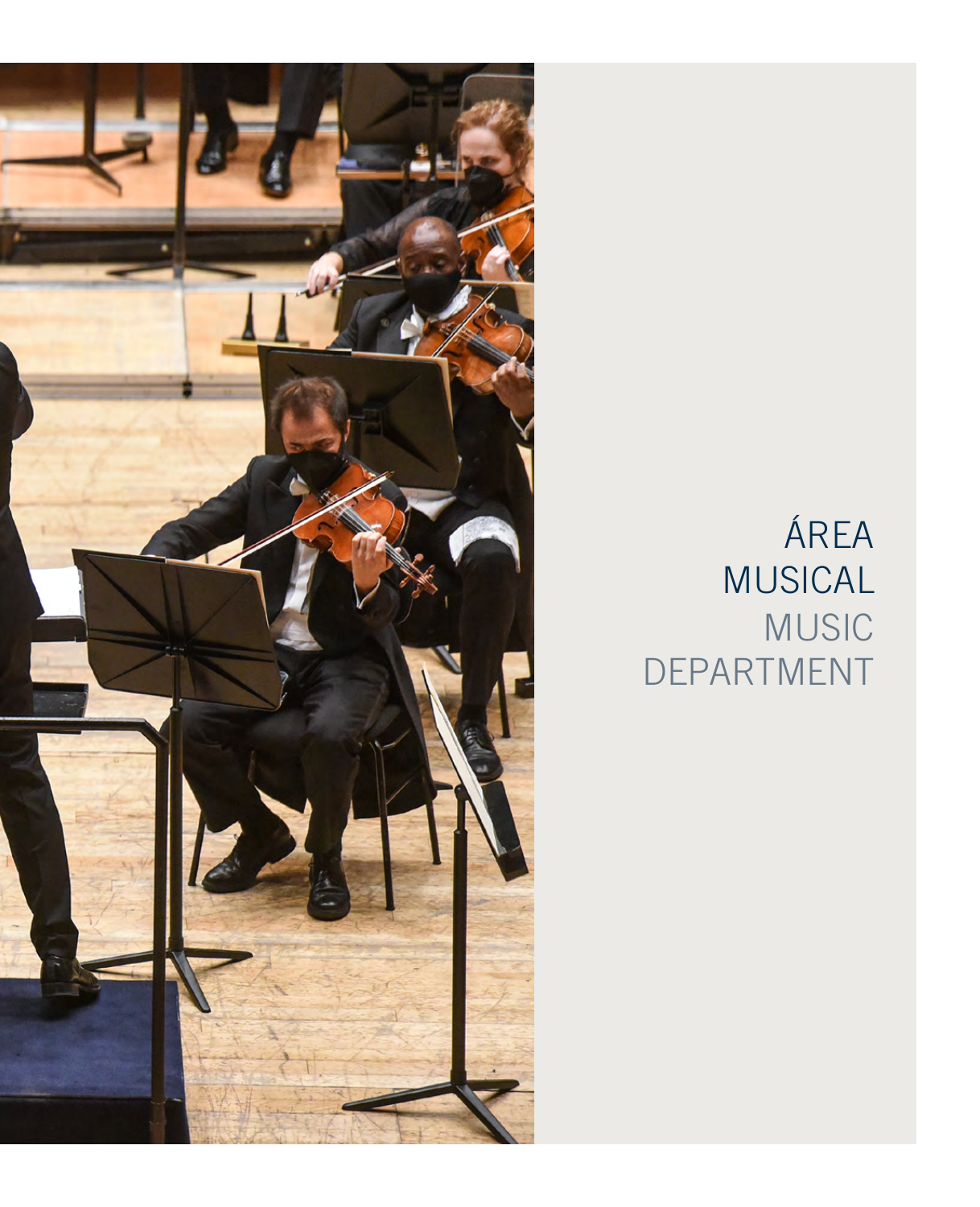

# ÁREA MUSICAL MUSIC DEPARTMENT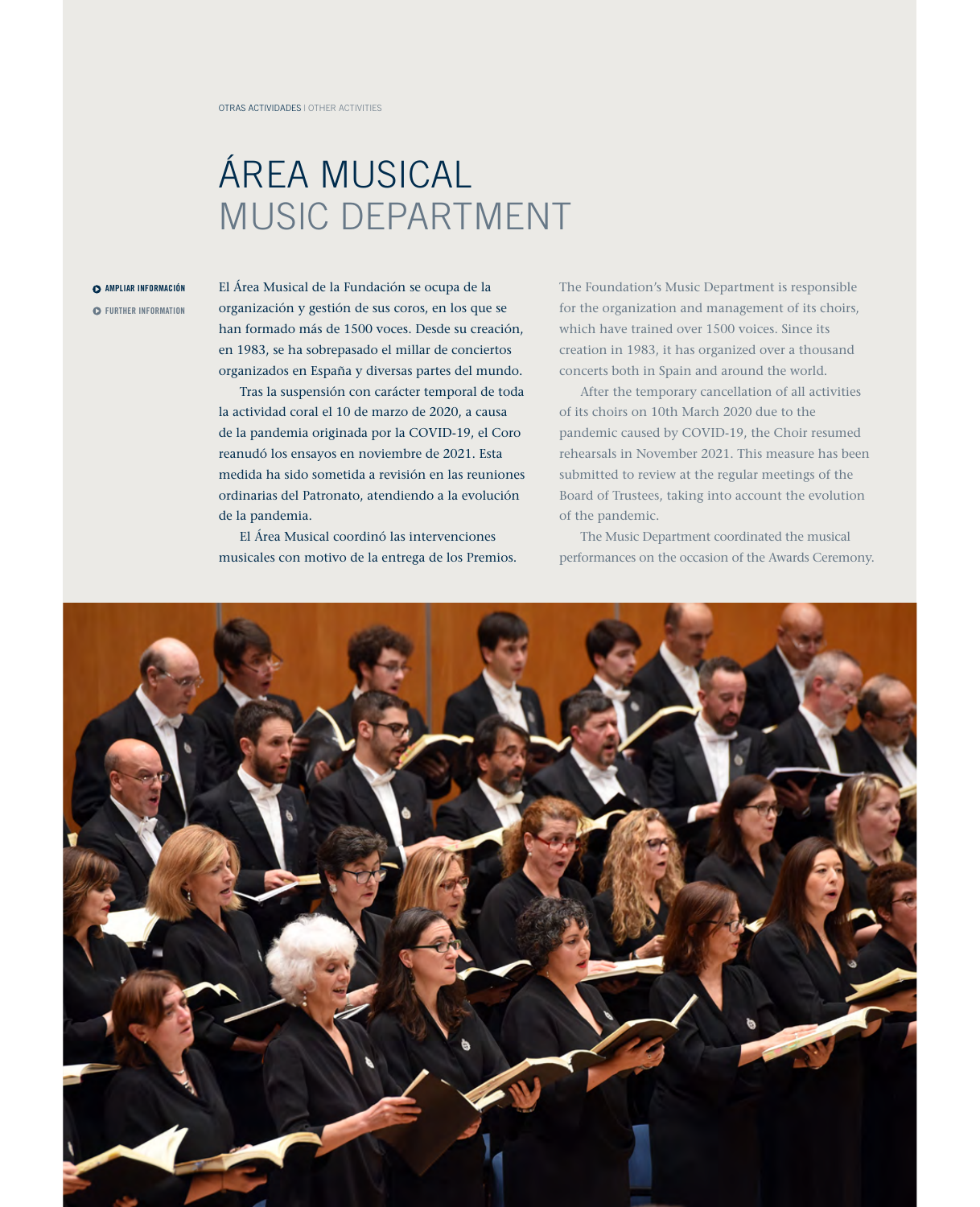## ÁREA MUSICAL MUSIC DEPARTMENT

### **C** AMPLIAR INFORMACIÓN **O** FURTHER INFORMATION

El Área Musical de la Fundación se ocupa de la organización y gestión de sus coros, en los que se han formado más de 1500 voces. Desde su creación, en 1983, se ha sobrepasado el millar de conciertos organizados en España y diversas partes del mundo.

Tras la suspensión con carácter temporal de toda la actividad coral el 10 de marzo de 2020, a causa de la pandemia originada por la COVID-19, el Coro reanudó los ensayos en noviembre de 2021. Esta medida ha sido sometida a revisión en las reuniones ordinarias del Patronato, atendiendo a la evolución de la pandemia.

El Área Musical coordinó las intervenciones musicales con motivo de la entrega de los Premios. The Foundation's Music Department is responsible for the organization and management of its choirs, which have trained over 1500 voices. Since its creation in 1983, it has organized over a thousand concerts both in Spain and around the world.

After the temporary cancellation of all activities of its choirs on 10th March 2020 due to the pandemic caused by COVID-19, the Choir resumed rehearsals in November 2021. This measure has been submitted to review at the regular meetings of the Board of Trustees, taking into account the evolution of the pandemic.

The Music Department coordinated the musical performances on the occasion of the Awards Ceremony.